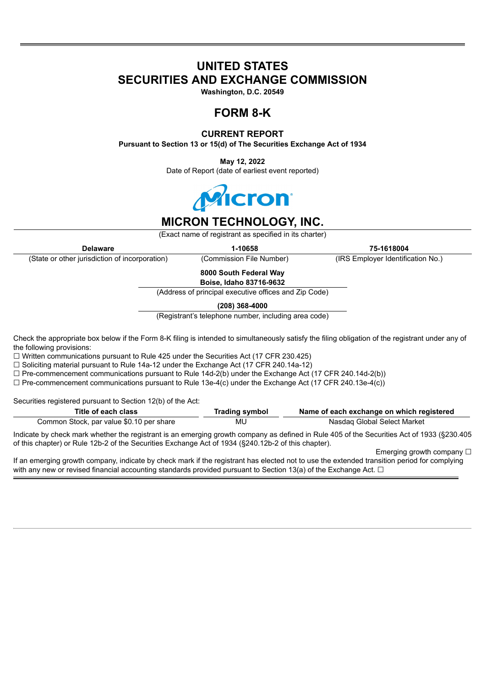# **UNITED STATES SECURITIES AND EXCHANGE COMMISSION**

**Washington, D.C. 20549**

## **FORM 8-K**

### **CURRENT REPORT**

**Pursuant to Section 13 or 15(d) of The Securities Exchange Act of 1934**

**May 12, 2022** Date of Report (date of earliest event reported)



## **MICRON TECHNOLOGY, INC.**

(Exact name of registrant as specified in its charter)

**Delaware 1-10658 75-1618004** (State or other jurisdiction of incorporation) (Commission File Number) (IRS Employer Identification No.)

**8000 South Federal Way**

**Boise, Idaho 83716-9632**

(Address of principal executive offices and Zip Code)

**(208) 368-4000**

(Registrant's telephone number, including area code)

Check the appropriate box below if the Form 8-K filing is intended to simultaneously satisfy the filing obligation of the registrant under any of the following provisions:

 $\Box$  Written communications pursuant to Rule 425 under the Securities Act (17 CFR 230.425)

☐ Soliciting material pursuant to Rule 14a-12 under the Exchange Act (17 CFR 240.14a-12)

 $\Box$  Pre-commencement communications pursuant to Rule 14d-2(b) under the Exchange Act (17 CFR 240.14d-2(b))

 $\Box$  Pre-commencement communications pursuant to Rule 13e-4(c) under the Exchange Act (17 CFR 240.13e-4(c))

Securities registered pursuant to Section 12(b) of the Act:

| Title of each class                      | Trading symbol | Name of each exchange on which registered                                                                                                  |
|------------------------------------------|----------------|--------------------------------------------------------------------------------------------------------------------------------------------|
| Common Stock, par value \$0.10 per share | MU             | Nasdag Global Select Market                                                                                                                |
|                                          |                | Indicate by check mark whether the registrant is an emerging growth company as defined in Rule 405 of the Securities Act of 1933 (§230.405 |

of this chapter) or Rule 12b-2 of the Securities Exchange Act of 1934 (§240.12b-2 of this chapter).

Emerging growth company □

If an emerging growth company, indicate by check mark if the registrant has elected not to use the extended transition period for complying with any new or revised financial accounting standards provided pursuant to Section 13(a) of the Exchange Act.  $\Box$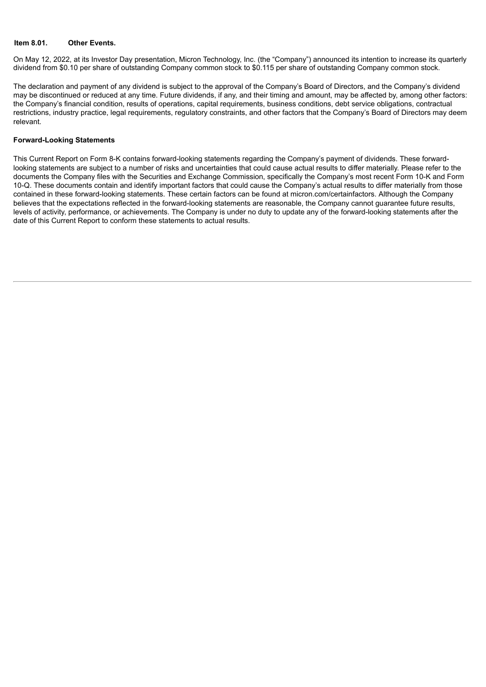#### **Item 8.01. Other Events.**

On May 12, 2022, at its Investor Day presentation, Micron Technology, Inc. (the "Company") announced its intention to increase its quarterly dividend from \$0.10 per share of outstanding Company common stock to \$0.115 per share of outstanding Company common stock.

The declaration and payment of any dividend is subject to the approval of the Company's Board of Directors, and the Company's dividend may be discontinued or reduced at any time. Future dividends, if any, and their timing and amount, may be affected by, among other factors: the Company's financial condition, results of operations, capital requirements, business conditions, debt service obligations, contractual restrictions, industry practice, legal requirements, regulatory constraints, and other factors that the Company's Board of Directors may deem relevant.

#### **Forward-Looking Statements**

This Current Report on Form 8-K contains forward-looking statements regarding the Company's payment of dividends. These forwardlooking statements are subject to a number of risks and uncertainties that could cause actual results to differ materially. Please refer to the documents the Company files with the Securities and Exchange Commission, specifically the Company's most recent Form 10-K and Form 10-Q. These documents contain and identify important factors that could cause the Company's actual results to differ materially from those contained in these forward-looking statements. These certain factors can be found at micron.com/certainfactors. Although the Company believes that the expectations reflected in the forward-looking statements are reasonable, the Company cannot guarantee future results, levels of activity, performance, or achievements. The Company is under no duty to update any of the forward-looking statements after the date of this Current Report to conform these statements to actual results.